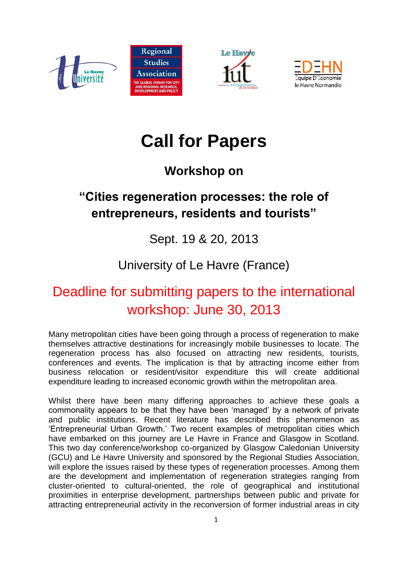







# **Call for Papers**

# **Workshop on**

## **"Cities regeneration processes: the role of entrepreneurs, residents and tourists"**

#### Sept. 19 & 20, 2013

## University of Le Havre (France)

# Deadline for submitting papers to the international workshop: June 30, 2013

Many metropolitan cities have been going through a process of regeneration to make themselves attractive destinations for increasingly mobile businesses to locate. The regeneration process has also focused on attracting new residents, tourists, conferences and events. The implication is that by attracting income either from business relocation or resident/visitor expenditure this will create additional expenditure leading to increased economic growth within the metropolitan area.

Whilst there have been many differing approaches to achieve these goals a commonality appears to be that they have been 'managed' by a network of private and public institutions. Recent literature has described this phenomenon as 'Entrepreneurial Urban Growth.' Two recent examples of metropolitan cities which have embarked on this journey are Le Havre in France and Glasgow in Scotland. This two day conference/workshop co-organized by Glasgow Caledonian University (GCU) and Le Havre University and sponsored by the Regional Studies Association, will explore the issues raised by these types of regeneration processes. Among them are the development and implementation of regeneration strategies ranging from cluster-oriented to cultural-oriented, the role of geographical and institutional proximities in enterprise development, partnerships between public and private for attracting entrepreneurial activity in the reconversion of former industrial areas in city